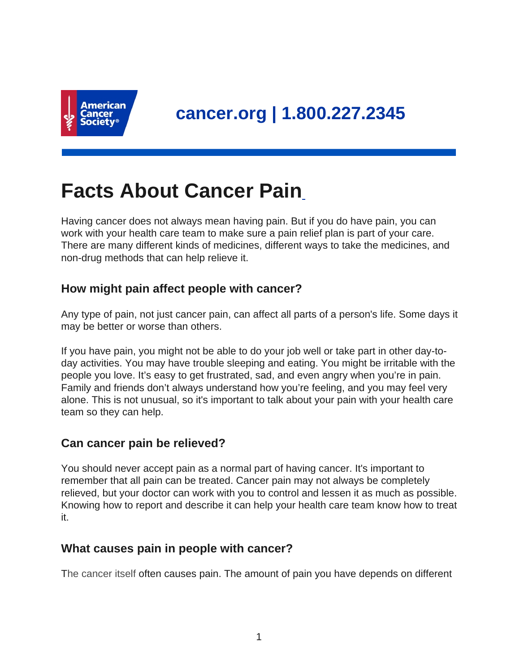

# **Facts About Cancer Pain**

Having cancer does not always mean having pain. But if you do have pain, you can work with your health care team to make sure a pain relief plan is part of your care. There are many different kinds of medicines, different ways to take the medicines, and non-drug methods that can help relieve it.

## **How might pain affect people with cancer?**

Any type of pain, not just cancer pain, can affect all parts of a person's life. Some days it may be better or worse than others.

If you have pain, you might not be able to do your job well or take part in other day-today activities. You may have trouble sleeping and eating. You might be irritable with the people you love. It's easy to get frustrated, sad, and even angry when you're in pain. Family and friends don't always understand how you're feeling, and you may feel very alone. This is not unusual, so it's important to talk about your pain with your health care team so they can help.

## **Can cancer pain be relieved?**

You should never accept pain as a normal part of having cancer. It's important to remember that all pain can be treated. Cancer pain may not always be completely relieved, but your doctor can work with you to control and lessen it as much as possible. Knowing how to report and describe it can help your health care team know how to treat it.

## **What causes pain in people with cancer?**

The cancer itself often causes pain. The amount of pain you have depends on different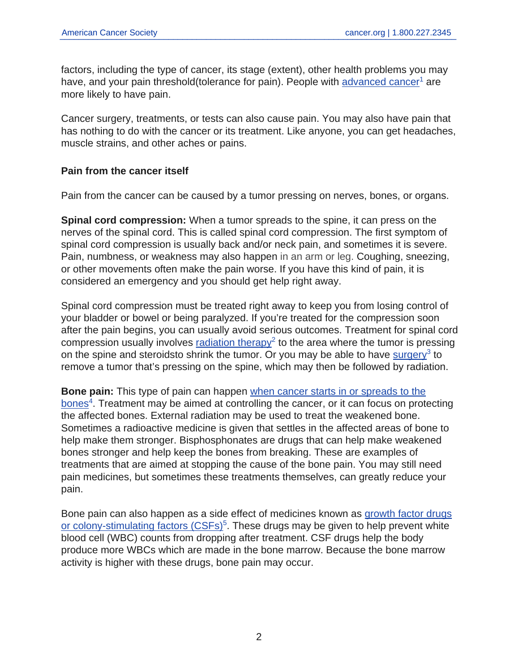factors, including the type of cancer, its stage (extent), other health problems you may have, and your pain threshold(tolerance for pain). People with [advanced cancer](https://www.cancer.org/treatment/understanding-your-diagnosis/advanced-cancer.html)<sup>1</sup> are more likely to have pain.

Cancer surgery, treatments, or tests can also cause pain. You may also have pain that has nothing to do with the cancer or its treatment. Like anyone, you can get headaches, muscle strains, and other aches or pains.

#### **Pain from the cancer itself**

Pain from the cancer can be caused by a tumor pressing on nerves, bones, or organs.

**Spinal cord compression:** When a tumor spreads to the spine, it can press on the nerves of the spinal cord. This is called spinal cord compression. The first symptom of spinal cord compression is usually back and/or neck pain, and sometimes it is severe. Pain, numbness, or weakness may also happen in an arm or leg. Coughing, sneezing, or other movements often make the pain worse. If you have this kind of pain, it is considered an emergency and you should get help right away.

Spinal cord compression must be treated right away to keep you from losing control of your bladder or bowel or being paralyzed. If you're treated for the compression soon after the pain begins, you can usually avoid serious outcomes. Treatment for spinal cord compression usually involves [radiation therapy](https://www.cancer.org/treatment/treatments-and-side-effects/treatment-types/radiation.html)<sup>2</sup> to the area where the tumor is pressing on the spine and steroidsto shrink the tumor. Or you may be able to have  $\frac{\text{surgery}}{3}$  $\frac{\text{surgery}}{3}$  $\frac{\text{surgery}}{3}$  to remove a tumor that's pressing on the spine, which may then be followed by radiation.

**Bone pain:** This type of pain can happen [when cancer starts in or spreads to the](https://www.cancer.org/content/cancer/en/treatment/understanding-your-diagnosis/bone-metastasis.html) [bones](https://www.cancer.org/content/cancer/en/treatment/understanding-your-diagnosis/bone-metastasis.html)<sup>4</sup>. Treatment may be aimed at controlling the cancer, or it can focus on protecting the affected bones. External radiation may be used to treat the weakened bone. Sometimes a radioactive medicine is given that settles in the affected areas of bone to help make them stronger. Bisphosphonates are drugs that can help make weakened bones stronger and help keep the bones from breaking. These are examples of treatments that are aimed at stopping the cause of the bone pain. You may still need pain medicines, but sometimes these treatments themselves, can greatly reduce your pain.

Bone pain can also happen as a side effect of medicines known as [growth factor drugs](https://www.cancer.org/content/cancer/en/treatment/treatments-and-side-effects/physical-side-effects/infections/preventing-infections-in-people-with-cancer.html) [or colony-stimulating factors \(CSFs\)](https://www.cancer.org/content/cancer/en/treatment/treatments-and-side-effects/physical-side-effects/infections/preventing-infections-in-people-with-cancer.html)<sup>5</sup>. These drugs may be given to help prevent white blood cell (WBC) counts from dropping after treatment. CSF drugs help the body produce more WBCs which are made in the bone marrow. Because the bone marrow activity is higher with these drugs, bone pain may occur.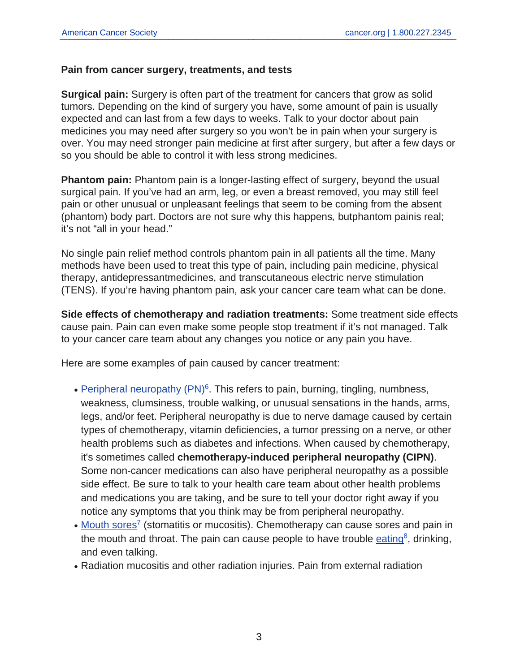#### **Pain from cancer surgery, treatments, and tests**

**Surgical pain:** Surgery is often part of the treatment for cancers that grow as solid tumors. Depending on the kind of surgery you have, some amount of pain is usually expected and can last from a few days to weeks. Talk to your doctor about pain medicines you may need after surgery so you won't be in pain when your surgery is over. You may need stronger pain medicine at first after surgery, but after a few days or so you should be able to control it with less strong medicines.

**Phantom pain:** Phantom pain is a longer-lasting effect of surgery, beyond the usual surgical pain. If you've had an arm, leg, or even a breast removed, you may still feel pain or other unusual or unpleasant feelings that seem to be coming from the absent (phantom) body part. Doctors are not sure why this happens, butphantom painis real; it's not "all in your head."

No single pain relief method controls phantom pain in all patients all the time. Many methods have been used to treat this type of pain, including pain medicine, physical therapy, antidepressantmedicines, and transcutaneous electric nerve stimulation (TENS). If you're having phantom pain, ask your cancer care team what can be done.

**Side effects of chemotherapy and radiation treatments:** Some treatment side effects cause pain. Pain can even make some people stop treatment if it's not managed. Talk to your cancer care team about any changes you notice or any pain you have.

Here are some examples of pain caused by cancer treatment:

- [Peripheral neuropathy \(PN\)](https://www.cancer.org/treatment/treatments-and-side-effects/physical-side-effects/peripheral-neuropathy.html)<sup>6</sup>. This refers to pain, burning, tingling, numbness, weakness, clumsiness, trouble walking, or unusual sensations in the hands, arms, legs, and/or feet. Peripheral neuropathy is due to nerve damage caused by certain types of chemotherapy, vitamin deficiencies, a tumor pressing on a nerve, or other health problems such as diabetes and infections. When caused by chemotherapy, it's sometimes called **chemotherapy-induced peripheral neuropathy (CIPN)**. Some non-cancer medications can also have peripheral neuropathy as a possible side effect. Be sure to talk to your health care team about other health problems and medications you are taking, and be sure to tell your doctor right away if you notice any symptoms that you think may be from peripheral neuropathy.
- [Mouth sores](https://www.cancer.org/treatment/treatments-and-side-effects/physical-side-effects/mouth-problems/mouth-sores.html)<sup>7</sup> (stomatitis or mucositis). Chemotherapy can cause sores and pain in the mouth and throat. The pain can cause people to have trouble **[eating](https://www.cancer.org/treatment/treatments-and-side-effects/physical-side-effects/eating-problems.html)**<sup>8</sup>, drinking, and even talking.
- Radiation mucositis and other radiation injuries. Pain from external radiation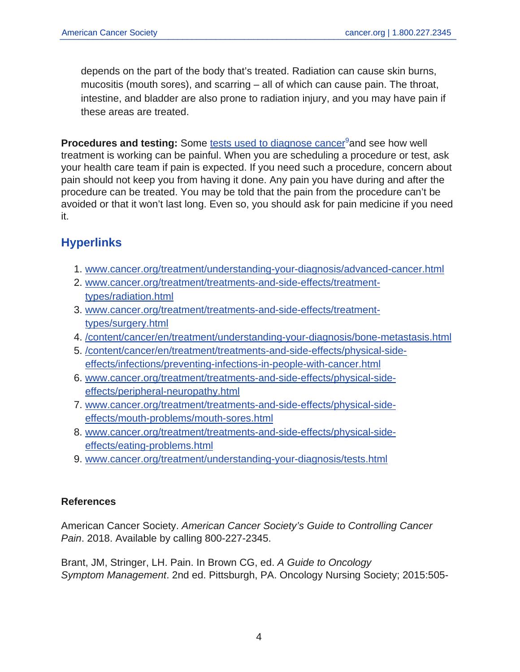depends on the part of the body that's treated. Radiation can cause skin burns, mucositis (mouth sores), and scarring – all of which can cause pain. The throat, intestine, and bladder are also prone to radiation injury, and you may have pain if these areas are treated.

**Procedures and testing:** Some [tests used to diagnose cancer](https://www.cancer.org/treatment/understanding-your-diagnosis/tests.html)<sup>9</sup>and see how well treatment is working can be painful. When you are scheduling a procedure or test, ask your health care team if pain is expected. If you need such a procedure, concern about pain should not keep you from having it done. Any pain you have during and after the procedure can be treated. You may be told that the pain from the procedure can't be avoided or that it won't last long. Even so, you should ask for pain medicine if you need it.

## **Hyperlinks**

- 1. [www.cancer.org/treatment/understanding-your-diagnosis/advanced-cancer.html](https://www.cancer.org/treatment/understanding-your-diagnosis/advanced-cancer.html)
- 2. [www.cancer.org/treatment/treatments-and-side-effects/treatment](https://www.cancer.org/treatment/treatments-and-side-effects/treatment-types/radiation.html)[types/radiation.html](https://www.cancer.org/treatment/treatments-and-side-effects/treatment-types/radiation.html)
- 3. [www.cancer.org/treatment/treatments-and-side-effects/treatment](https://www.cancer.org/treatment/treatments-and-side-effects/treatment-types/surgery.html)[types/surgery.html](https://www.cancer.org/treatment/treatments-and-side-effects/treatment-types/surgery.html)
- 4. [/content/cancer/en/treatment/understanding-your-diagnosis/bone-metastasis.html](https://www.cancer.org/content/cancer/en/treatment/understanding-your-diagnosis/bone-metastasis.html)
- 5. [/content/cancer/en/treatment/treatments-and-side-effects/physical-side](https://www.cancer.org/content/cancer/en/treatment/treatments-and-side-effects/physical-side-effects/infections/preventing-infections-in-people-with-cancer.html)[effects/infections/preventing-infections-in-people-with-cancer.html](https://www.cancer.org/content/cancer/en/treatment/treatments-and-side-effects/physical-side-effects/infections/preventing-infections-in-people-with-cancer.html)
- 6. [www.cancer.org/treatment/treatments-and-side-effects/physical-side](https://www.cancer.org/treatment/treatments-and-side-effects/physical-side-effects/peripheral-neuropathy.html)[effects/peripheral-neuropathy.html](https://www.cancer.org/treatment/treatments-and-side-effects/physical-side-effects/peripheral-neuropathy.html)
- 7. [www.cancer.org/treatment/treatments-and-side-effects/physical-side](https://www.cancer.org/treatment/treatments-and-side-effects/physical-side-effects/mouth-problems/mouth-sores.html)[effects/mouth-problems/mouth-sores.html](https://www.cancer.org/treatment/treatments-and-side-effects/physical-side-effects/mouth-problems/mouth-sores.html)
- 8. [www.cancer.org/treatment/treatments-and-side-effects/physical-side](https://www.cancer.org/treatment/treatments-and-side-effects/physical-side-effects/eating-problems.html)[effects/eating-problems.html](https://www.cancer.org/treatment/treatments-and-side-effects/physical-side-effects/eating-problems.html)
- 9. [www.cancer.org/treatment/understanding-your-diagnosis/tests.html](https://www.cancer.org/treatment/understanding-your-diagnosis/tests.html)

#### **References**

American Cancer Society. American Cancer Society's Guide to Controlling Cancer Pain. 2018. Available by calling 800-227-2345.

Brant, JM, Stringer, LH. Pain. In Brown CG, ed. A Guide to Oncology Symptom Management. 2nd ed. Pittsburgh, PA. Oncology Nursing Society; 2015:505